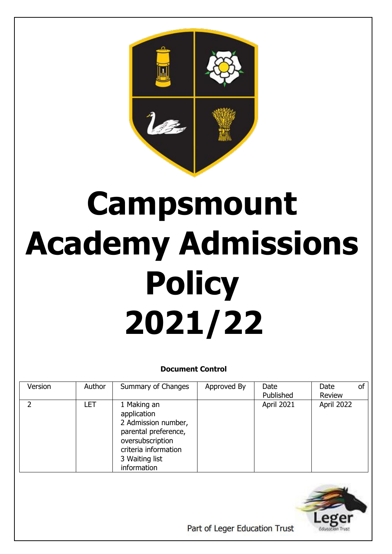

# **Campsmount Academy Admissions Policy 2021/22**

## **Document Control**

| Version | Author     | Summary of Changes                                                                                                                                     | Approved By | Date<br>Published | Date<br>Review | of |
|---------|------------|--------------------------------------------------------------------------------------------------------------------------------------------------------|-------------|-------------------|----------------|----|
|         | <b>LET</b> | 1 Making an<br>application<br>2 Admission number,<br>parental preference,<br>oversubscription<br>criteria information<br>3 Waiting list<br>information |             | April 2021        | April 2022     |    |



Part of Leger Education Trust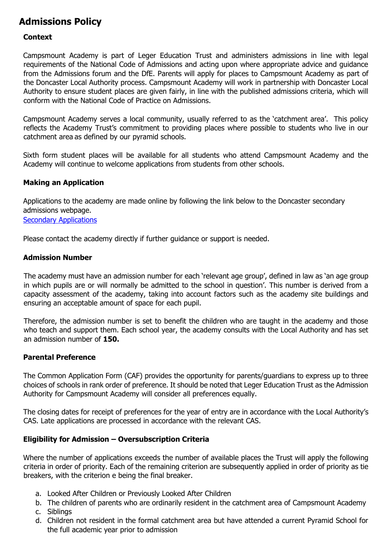# **Admissions Policy**

#### **Context**

Campsmount Academy is part of Leger Education Trust and administers admissions in line with legal requirements of the National Code of Admissions and acting upon where appropriate advice and guidance from the Admissions forum and the DfE. Parents will apply for places to Campsmount Academy as part of the Doncaster Local Authority process. Campsmount Academy will work in partnership with Doncaster Local Authority to ensure student places are given fairly, in line with the published admissions criteria, which will conform with the National Code of Practice on Admissions.

Campsmount Academy serves a local community, usually referred to as the 'catchment area'. This policy reflects the Academy Trust's commitment to providing places where possible to students who live in our catchment area as defined by our pyramid schools.

Sixth form student places will be available for all students who attend Campsmount Academy and the Academy will continue to welcome applications from students from other schools.

#### **Making an Application**

Applications to the academy are made online by following the link below to the Doncaster secondary admissions webpage. [Secondary Applications](https://www.doncaster.gov.uk/services/schools/secondary-admissions)

Please contact the academy directly if further guidance or support is needed.

#### **Admission Number**

The academy must have an admission number for each 'relevant age group', defined in law as 'an age group in which pupils are or will normally be admitted to the school in question'. This number is derived from a capacity assessment of the academy, taking into account factors such as the academy site buildings and ensuring an acceptable amount of space for each pupil.

Therefore, the admission number is set to benefit the children who are taught in the academy and those who teach and support them. Each school year, the academy consults with the Local Authority and has set an admission number of **150.**

#### **Parental Preference**

The Common Application Form (CAF) provides the opportunity for parents/guardians to express up to three choices of schools in rank order of preference. It should be noted that Leger Education Trust as the Admission Authority for Campsmount Academy will consider all preferences equally.

The closing dates for receipt of preferences for the year of entry are in accordance with the Local Authority's CAS. Late applications are processed in accordance with the relevant CAS.

#### **Eligibility for Admission – Oversubscription Criteria**

Where the number of applications exceeds the number of available places the Trust will apply the following criteria in order of priority. Each of the remaining criterion are subsequently applied in order of priority as tie breakers, with the criterion e being the final breaker.

- a. Looked After Children or Previously Looked After Children
- b. The children of parents who are ordinarily resident in the catchment area of Campsmount Academy
- c. Siblings
- d. Children not resident in the formal catchment area but have attended a current Pyramid School for the full academic year prior to admission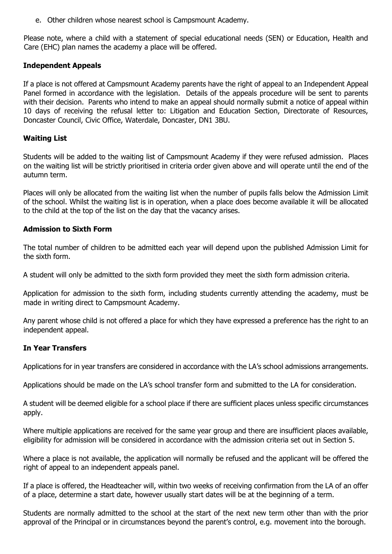e. Other children whose nearest school is Campsmount Academy.

Please note, where a child with a statement of special educational needs (SEN) or Education, Health and Care (EHC) plan names the academy a place will be offered.

#### **Independent Appeals**

If a place is not offered at Campsmount Academy parents have the right of appeal to an Independent Appeal Panel formed in accordance with the legislation. Details of the appeals procedure will be sent to parents with their decision. Parents who intend to make an appeal should normally submit a notice of appeal within 10 days of receiving the refusal letter to: Litigation and Education Section, Directorate of Resources, Doncaster Council, Civic Office, Waterdale, Doncaster, DN1 3BU.

#### **Waiting List**

Students will be added to the waiting list of Campsmount Academy if they were refused admission. Places on the waiting list will be strictly prioritised in criteria order given above and will operate until the end of the autumn term.

Places will only be allocated from the waiting list when the number of pupils falls below the Admission Limit of the school. Whilst the waiting list is in operation, when a place does become available it will be allocated to the child at the top of the list on the day that the vacancy arises.

#### **Admission to Sixth Form**

The total number of children to be admitted each year will depend upon the published Admission Limit for the sixth form.

A student will only be admitted to the sixth form provided they meet the sixth form admission criteria.

Application for admission to the sixth form, including students currently attending the academy, must be made in writing direct to Campsmount Academy.

Any parent whose child is not offered a place for which they have expressed a preference has the right to an independent appeal.

#### **In Year Transfers**

Applications for in year transfers are considered in accordance with the LA's school admissions arrangements.

Applications should be made on the LA's school transfer form and submitted to the LA for consideration.

A student will be deemed eligible for a school place if there are sufficient places unless specific circumstances apply.

Where multiple applications are received for the same year group and there are insufficient places available, eligibility for admission will be considered in accordance with the admission criteria set out in Section 5.

Where a place is not available, the application will normally be refused and the applicant will be offered the right of appeal to an independent appeals panel.

If a place is offered, the Headteacher will, within two weeks of receiving confirmation from the LA of an offer of a place, determine a start date, however usually start dates will be at the beginning of a term.

Students are normally admitted to the school at the start of the next new term other than with the prior approval of the Principal or in circumstances beyond the parent's control, e.g. movement into the borough.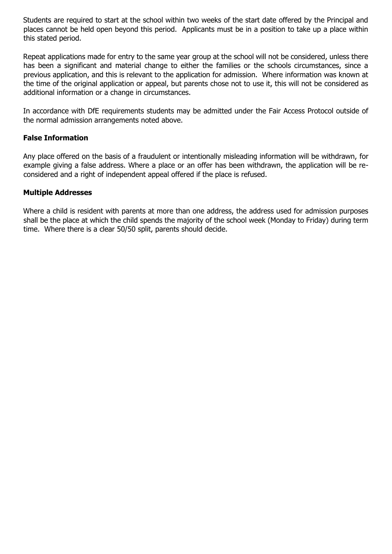Students are required to start at the school within two weeks of the start date offered by the Principal and places cannot be held open beyond this period. Applicants must be in a position to take up a place within this stated period.

Repeat applications made for entry to the same year group at the school will not be considered, unless there has been a significant and material change to either the families or the schools circumstances, since a previous application, and this is relevant to the application for admission. Where information was known at the time of the original application or appeal, but parents chose not to use it, this will not be considered as additional information or a change in circumstances.

In accordance with DfE requirements students may be admitted under the Fair Access Protocol outside of the normal admission arrangements noted above.

#### **False Information**

Any place offered on the basis of a fraudulent or intentionally misleading information will be withdrawn, for example giving a false address. Where a place or an offer has been withdrawn, the application will be reconsidered and a right of independent appeal offered if the place is refused.

#### **Multiple Addresses**

Where a child is resident with parents at more than one address, the address used for admission purposes shall be the place at which the child spends the majority of the school week (Monday to Friday) during term time. Where there is a clear 50/50 split, parents should decide.